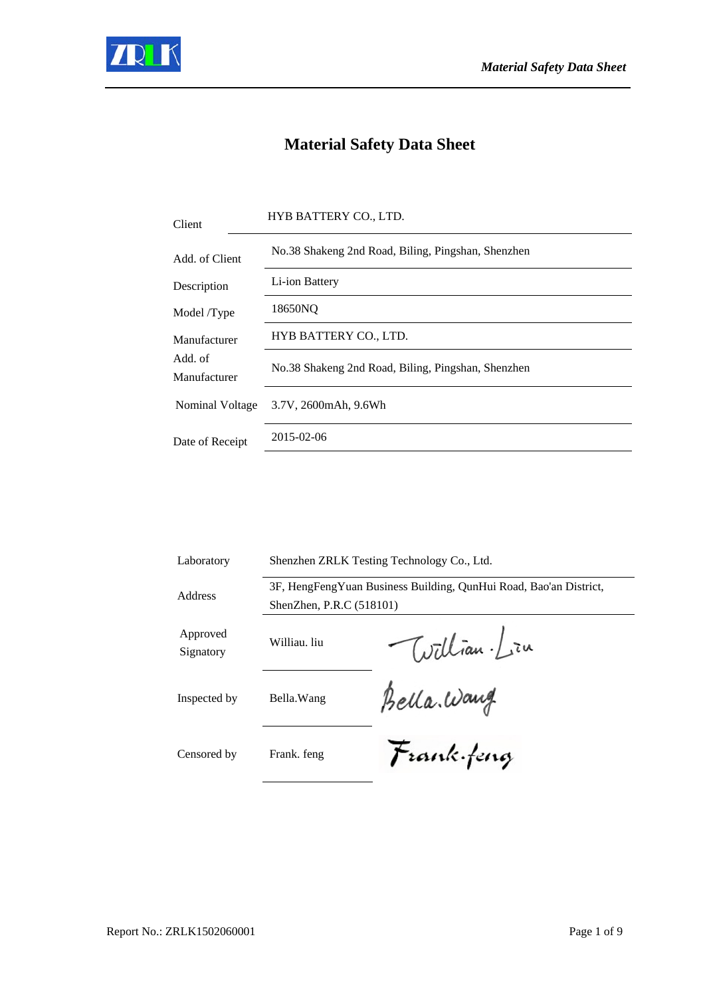

## **Material Safety Data Sheet**

| No.38 Shakeng 2nd Road, Biling, Pingshan, Shenzhen<br>Add. of Client<br>Li-ion Battery<br>Description<br>18650NQ<br>Model /Type<br>HYB BATTERY CO., LTD.<br>Manufacturer<br>Add. of<br>No.38 Shakeng 2nd Road, Biling, Pingshan, Shenzhen<br>Manufacturer<br>Nominal Voltage<br>3.7V, 2600mAh, 9.6Wh<br>2015-02-06<br>Date of Receipt | Client | HYB BATTERY CO., LTD. |
|---------------------------------------------------------------------------------------------------------------------------------------------------------------------------------------------------------------------------------------------------------------------------------------------------------------------------------------|--------|-----------------------|
|                                                                                                                                                                                                                                                                                                                                       |        |                       |
|                                                                                                                                                                                                                                                                                                                                       |        |                       |
|                                                                                                                                                                                                                                                                                                                                       |        |                       |
|                                                                                                                                                                                                                                                                                                                                       |        |                       |
|                                                                                                                                                                                                                                                                                                                                       |        |                       |
|                                                                                                                                                                                                                                                                                                                                       |        |                       |
|                                                                                                                                                                                                                                                                                                                                       |        |                       |

| Laboratory            | Shenzhen ZRLK Testing Technology Co., Ltd.                                                    |              |
|-----------------------|-----------------------------------------------------------------------------------------------|--------------|
| Address               | 3F, HengFengYuan Business Building, QunHui Road, Bao'an District,<br>ShenZhen, P.R.C (518101) |              |
| Approved<br>Signatory | Williau. liu                                                                                  | William. Lin |
| Inspected by          | Bella. Wang                                                                                   | Bella. Wang  |
| Censored by           | Frank. feng                                                                                   | Frank feng   |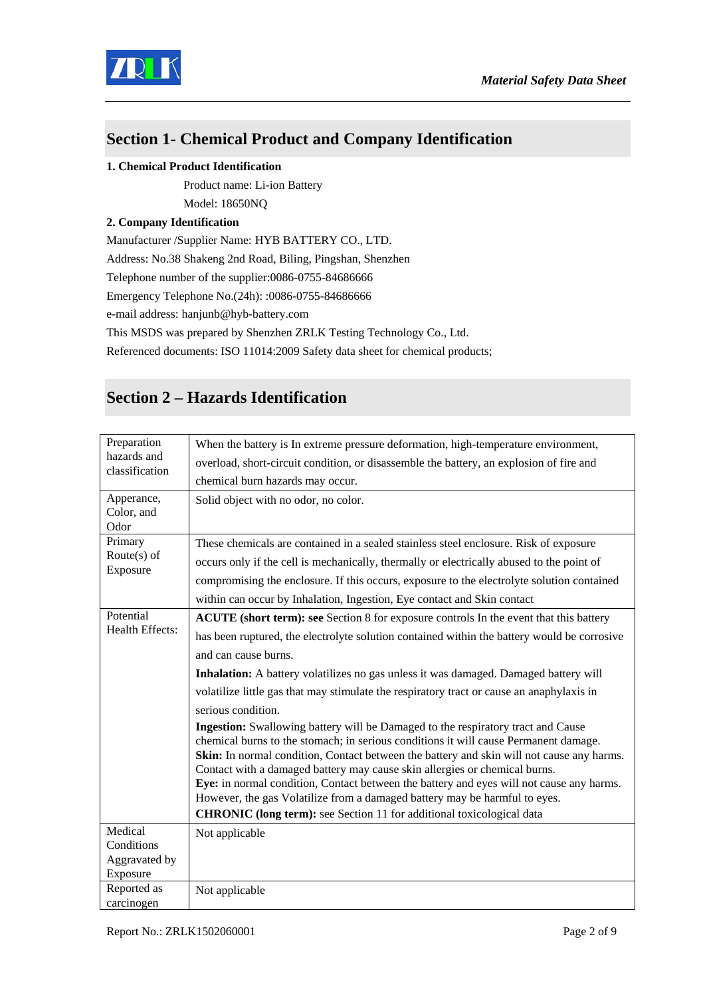

#### **Section 1- Chemical Product and Company Identification**

#### **1. Chemical Product Identification**

Product name: Li-ion Battery

Model: 18650NQ

#### **2. Company Identification**

Manufacturer /Supplier Name: HYB BATTERY CO., LTD.

Address: No.38 Shakeng 2nd Road, Biling, Pingshan, Shenzhen

Telephone number of the supplier:0086-0755-84686666

Emergency Telephone No.(24h): :0086-0755-84686666

e-mail address: hanjunb@hyb-battery.com

This MSDS was prepared by Shenzhen ZRLK Testing Technology Co., Ltd.

Referenced documents: ISO 11014:2009 Safety data sheet for chemical products;

### **Section 2 – Hazards Identification**

| Preparation                      | When the battery is In extreme pressure deformation, high-temperature environment,                                                                                                                                                                                                                                                                                                                                                                                                                                                   |
|----------------------------------|--------------------------------------------------------------------------------------------------------------------------------------------------------------------------------------------------------------------------------------------------------------------------------------------------------------------------------------------------------------------------------------------------------------------------------------------------------------------------------------------------------------------------------------|
| hazards and<br>classification    | overload, short-circuit condition, or disassemble the battery, an explosion of fire and                                                                                                                                                                                                                                                                                                                                                                                                                                              |
|                                  | chemical burn hazards may occur.                                                                                                                                                                                                                                                                                                                                                                                                                                                                                                     |
| Apperance,<br>Color, and<br>Odor | Solid object with no odor, no color.                                                                                                                                                                                                                                                                                                                                                                                                                                                                                                 |
| Primary                          | These chemicals are contained in a sealed stainless steel enclosure. Risk of exposure                                                                                                                                                                                                                                                                                                                                                                                                                                                |
| Route $(s)$ of                   | occurs only if the cell is mechanically, thermally or electrically abused to the point of                                                                                                                                                                                                                                                                                                                                                                                                                                            |
| Exposure                         | compromising the enclosure. If this occurs, exposure to the electrolyte solution contained                                                                                                                                                                                                                                                                                                                                                                                                                                           |
|                                  | within can occur by Inhalation, Ingestion, Eye contact and Skin contact                                                                                                                                                                                                                                                                                                                                                                                                                                                              |
| Potential                        | ACUTE (short term): see Section 8 for exposure controls In the event that this battery                                                                                                                                                                                                                                                                                                                                                                                                                                               |
| Health Effects:                  | has been ruptured, the electrolyte solution contained within the battery would be corrosive                                                                                                                                                                                                                                                                                                                                                                                                                                          |
|                                  | and can cause burns.                                                                                                                                                                                                                                                                                                                                                                                                                                                                                                                 |
|                                  | Inhalation: A battery volatilizes no gas unless it was damaged. Damaged battery will                                                                                                                                                                                                                                                                                                                                                                                                                                                 |
|                                  | volatilize little gas that may stimulate the respiratory tract or cause an anaphylaxis in                                                                                                                                                                                                                                                                                                                                                                                                                                            |
|                                  | serious condition.                                                                                                                                                                                                                                                                                                                                                                                                                                                                                                                   |
|                                  | Ingestion: Swallowing battery will be Damaged to the respiratory tract and Cause<br>chemical burns to the stomach; in serious conditions it will cause Permanent damage.<br><b>Skin:</b> In normal condition, Contact between the battery and skin will not cause any harms.<br>Contact with a damaged battery may cause skin allergies or chemical burns.<br>Eye: in normal condition, Contact between the battery and eyes will not cause any harms.<br>However, the gas Volatilize from a damaged battery may be harmful to eyes. |
|                                  |                                                                                                                                                                                                                                                                                                                                                                                                                                                                                                                                      |
| Conditions                       |                                                                                                                                                                                                                                                                                                                                                                                                                                                                                                                                      |
| Aggravated by                    |                                                                                                                                                                                                                                                                                                                                                                                                                                                                                                                                      |
| Exposure                         |                                                                                                                                                                                                                                                                                                                                                                                                                                                                                                                                      |
| carcinogen                       | Not applicable                                                                                                                                                                                                                                                                                                                                                                                                                                                                                                                       |
| Medical<br>Reported as           | <b>CHRONIC</b> (long term): see Section 11 for additional toxicological data<br>Not applicable                                                                                                                                                                                                                                                                                                                                                                                                                                       |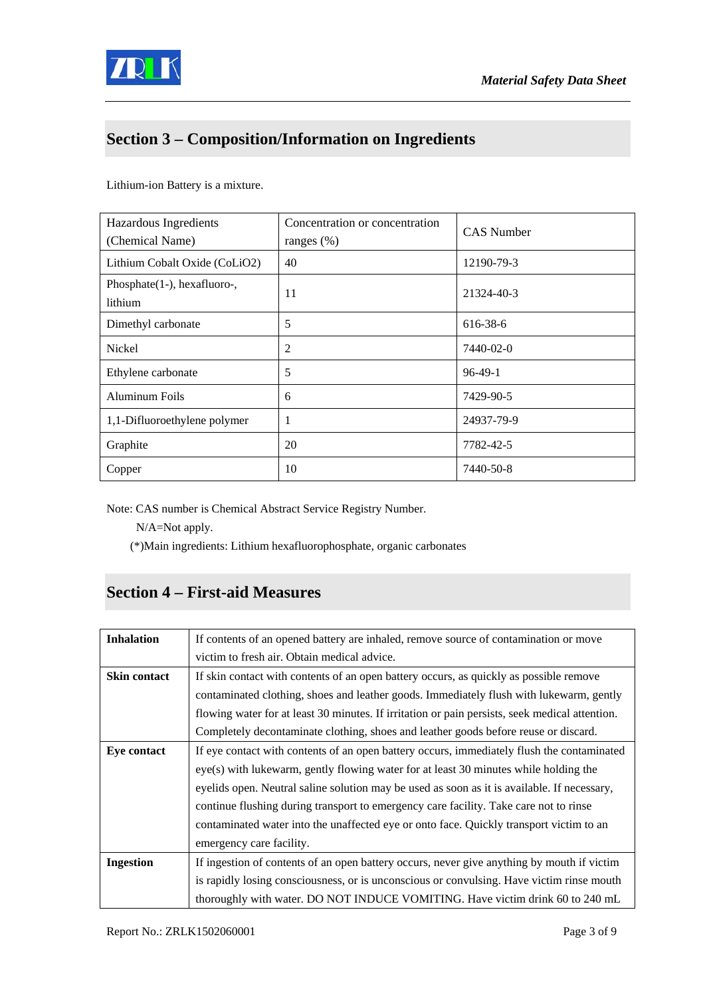

## **Section 3 – Composition/Information on Ingredients**

Lithium-ion Battery is a mixture.

| Hazardous Ingredients<br>(Chemical Name) | Concentration or concentration<br>ranges $(\%)$ | <b>CAS</b> Number |
|------------------------------------------|-------------------------------------------------|-------------------|
| Lithium Cobalt Oxide (CoLiO2)            | 40                                              | 12190-79-3        |
| Phosphate(1-), hexafluoro-,<br>lithium   | 11                                              | 21324-40-3        |
| Dimethyl carbonate                       | 5                                               | 616-38-6          |
| Nickel                                   | $\overline{2}$                                  | 7440-02-0         |
| Ethylene carbonate                       | 5                                               | $96-49-1$         |
| Aluminum Foils                           | 6                                               | 7429-90-5         |
| 1,1-Difluoroethylene polymer             | 1                                               | 24937-79-9        |
| Graphite                                 | 20                                              | 7782-42-5         |
| Copper                                   | 10                                              | 7440-50-8         |

Note: CAS number is Chemical Abstract Service Registry Number.

N/A=Not apply.

(\*)Main ingredients: Lithium hexafluorophosphate, organic carbonates

#### **Section 4 – First-aid Measures**

| <b>Inhalation</b>  | If contents of an opened battery are inhaled, remove source of contamination or move           |
|--------------------|------------------------------------------------------------------------------------------------|
|                    | victim to fresh air. Obtain medical advice.                                                    |
| Skin contact       | If skin contact with contents of an open battery occurs, as quickly as possible remove         |
|                    | contaminated clothing, shoes and leather goods. Immediately flush with lukewarm, gently        |
|                    | flowing water for at least 30 minutes. If irritation or pain persists, seek medical attention. |
|                    | Completely decontaminate clothing, shoes and leather goods before reuse or discard.            |
| <b>Eye contact</b> | If eye contact with contents of an open battery occurs, immediately flush the contaminated     |
|                    | eye(s) with lukewarm, gently flowing water for at least 30 minutes while holding the           |
|                    | eyelids open. Neutral saline solution may be used as soon as it is available. If necessary,    |
|                    | continue flushing during transport to emergency care facility. Take care not to rinse          |
|                    | contaminated water into the unaffected eye or onto face. Quickly transport victim to an        |
|                    | emergency care facility.                                                                       |
| <b>Ingestion</b>   | If ingestion of contents of an open battery occurs, never give anything by mouth if victim     |
|                    | is rapidly losing consciousness, or is unconscious or convulsing. Have victim rinse mouth      |
|                    | thoroughly with water. DO NOT INDUCE VOMITING. Have victim drink 60 to 240 mL                  |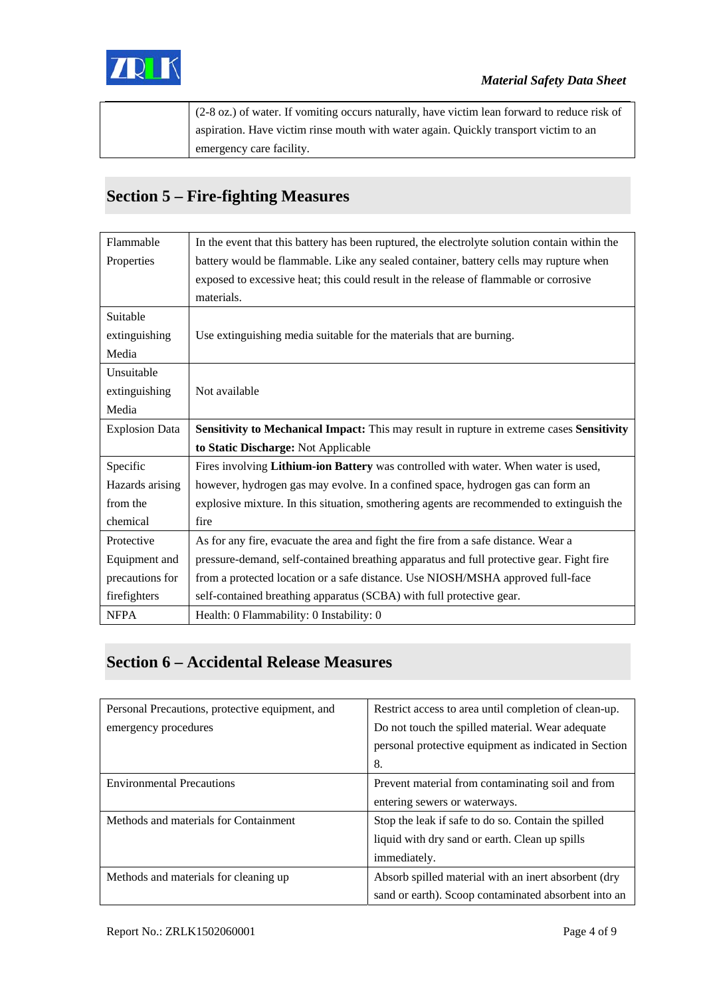

| $(2-8 \text{ oz.})$ of water. If vomiting occurs naturally, have victim lean forward to reduce risk of |
|--------------------------------------------------------------------------------------------------------|
| aspiration. Have victim rinse mouth with water again. Quickly transport victim to an                   |
| emergency care facility.                                                                               |

## **Section 5 – Fire-fighting Measures**

| Flammable             | In the event that this battery has been ruptured, the electrolyte solution contain within the |
|-----------------------|-----------------------------------------------------------------------------------------------|
| Properties            | battery would be flammable. Like any sealed container, battery cells may rupture when         |
|                       | exposed to excessive heat; this could result in the release of flammable or corrosive         |
|                       | materials.                                                                                    |
| Suitable              |                                                                                               |
| extinguishing         | Use extinguishing media suitable for the materials that are burning.                          |
| Media                 |                                                                                               |
| Unsuitable            |                                                                                               |
| extinguishing         | Not available                                                                                 |
| Media                 |                                                                                               |
| <b>Explosion Data</b> | Sensitivity to Mechanical Impact: This may result in rupture in extreme cases Sensitivity     |
|                       | to Static Discharge: Not Applicable                                                           |
| Specific              | Fires involving Lithium-ion Battery was controlled with water. When water is used,            |
| Hazards arising       | however, hydrogen gas may evolve. In a confined space, hydrogen gas can form an               |
| from the              | explosive mixture. In this situation, smothering agents are recommended to extinguish the     |
| chemical              | fire                                                                                          |
| Protective            | As for any fire, evacuate the area and fight the fire from a safe distance. Wear a            |
| Equipment and         | pressure-demand, self-contained breathing apparatus and full protective gear. Fight fire      |
| precautions for       | from a protected location or a safe distance. Use NIOSH/MSHA approved full-face               |
| firefighters          | self-contained breathing apparatus (SCBA) with full protective gear.                          |
| <b>NFPA</b>           | Health: 0 Flammability: 0 Instability: 0                                                      |

### **Section 6 – Accidental Release Measures**

| Personal Precautions, protective equipment, and | Restrict access to area until completion of clean-up. |
|-------------------------------------------------|-------------------------------------------------------|
| emergency procedures                            | Do not touch the spilled material. Wear adequate      |
|                                                 | personal protective equipment as indicated in Section |
|                                                 | 8.                                                    |
| <b>Environmental Precautions</b>                | Prevent material from contaminating soil and from     |
|                                                 | entering sewers or waterways.                         |
| Methods and materials for Containment           | Stop the leak if safe to do so. Contain the spilled   |
|                                                 | liquid with dry sand or earth. Clean up spills        |
|                                                 | immediately.                                          |
| Methods and materials for cleaning up           | Absorb spilled material with an inert absorbent (dry  |
|                                                 | sand or earth). Scoop contaminated absorbent into an  |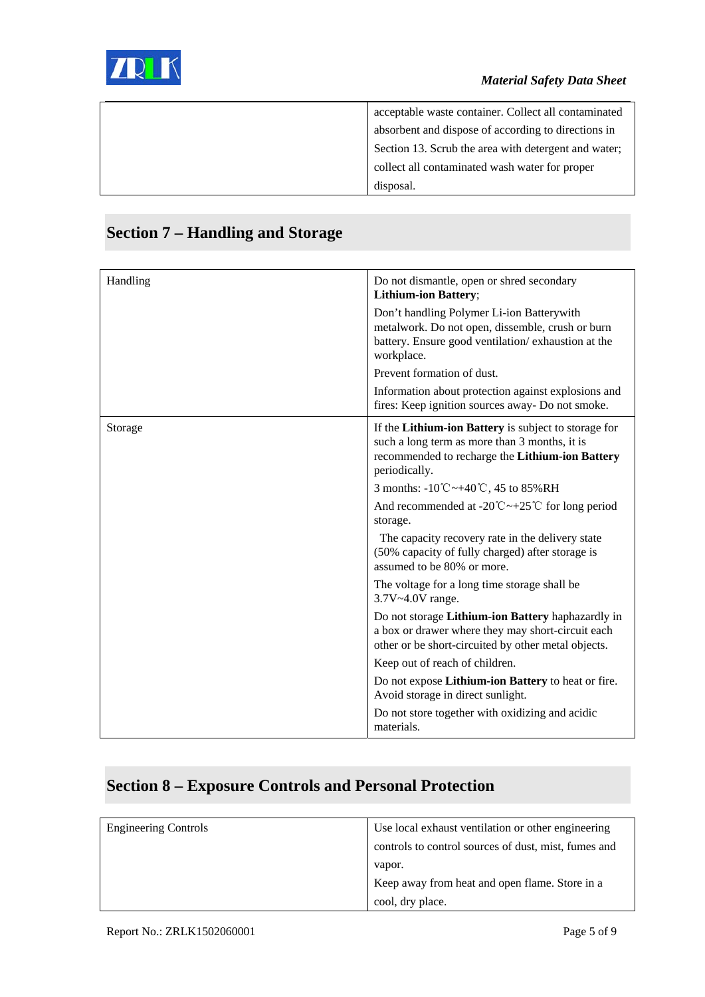

| acceptable waste container. Collect all contaminated |
|------------------------------------------------------|
| absorbent and dispose of according to directions in  |
| Section 13. Scrub the area with detergent and water; |
| collect all contaminated wash water for proper       |
| disposal.                                            |

| Handling | Do not dismantle, open or shred secondary<br><b>Lithium-ion Battery;</b>                                                                                                  |
|----------|---------------------------------------------------------------------------------------------------------------------------------------------------------------------------|
|          | Don't handling Polymer Li-ion Batterywith<br>metalwork. Do not open, dissemble, crush or burn<br>battery. Ensure good ventilation/exhaustion at the<br>workplace.         |
|          | Prevent formation of dust.                                                                                                                                                |
|          | Information about protection against explosions and<br>fires: Keep ignition sources away- Do not smoke.                                                                   |
| Storage  | If the Lithium-ion Battery is subject to storage for<br>such a long term as more than 3 months, it is<br>recommended to recharge the Lithium-ion Battery<br>periodically. |
|          | 3 months: $-10^{\circ}\text{C} \rightarrow +40^{\circ}\text{C}$ , 45 to 85%RH                                                                                             |
|          | And recommended at -20 <sup>°</sup> C ~+25 <sup>°</sup> C for long period<br>storage.                                                                                     |
|          | The capacity recovery rate in the delivery state<br>(50% capacity of fully charged) after storage is<br>assumed to be 80% or more.                                        |
|          | The voltage for a long time storage shall be<br>3.7V~4.0V range.                                                                                                          |
|          | Do not storage Lithium-ion Battery haphazardly in<br>a box or drawer where they may short-circuit each<br>other or be short-circuited by other metal objects.             |
|          | Keep out of reach of children.                                                                                                                                            |
|          | Do not expose Lithium-ion Battery to heat or fire.<br>Avoid storage in direct sunlight.                                                                                   |
|          | Do not store together with oxidizing and acidic<br>materials.                                                                                                             |

## **Section 7 – Handling and Storage**

### **Section 8 – Exposure Controls and Personal Protection**

| <b>Engineering Controls</b> | Use local exhaust ventilation or other engineering   |
|-----------------------------|------------------------------------------------------|
|                             | controls to control sources of dust, mist, fumes and |
|                             | vapor.                                               |
|                             | Keep away from heat and open flame. Store in a       |
|                             | cool, dry place.                                     |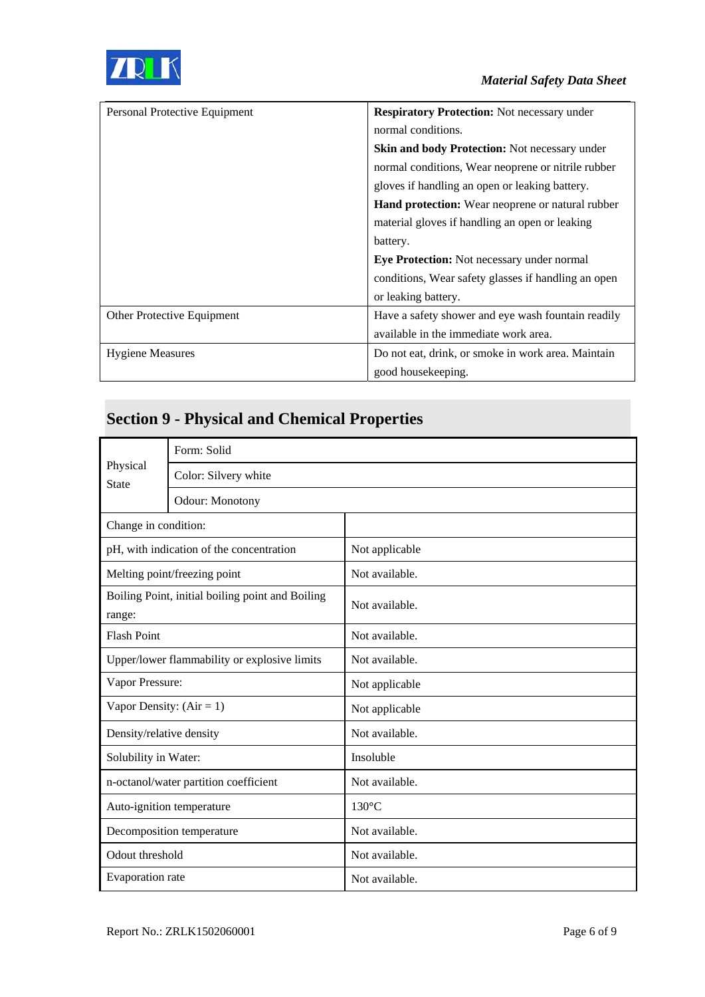

| Personal Protective Equipment | <b>Respiratory Protection:</b> Not necessary under      |
|-------------------------------|---------------------------------------------------------|
|                               | normal conditions.                                      |
|                               | <b>Skin and body Protection:</b> Not necessary under    |
|                               | normal conditions, Wear neoprene or nitrile rubber      |
|                               | gloves if handling an open or leaking battery.          |
|                               | <b>Hand protection:</b> Wear neoprene or natural rubber |
|                               | material gloves if handling an open or leaking          |
|                               | battery.                                                |
|                               | Eye Protection: Not necessary under normal              |
|                               | conditions, Wear safety glasses if handling an open     |
|                               | or leaking battery.                                     |
| Other Protective Equipment    | Have a safety shower and eye wash fountain readily      |
|                               | available in the immediate work area.                   |
| <b>Hygiene Measures</b>       | Do not eat, drink, or smoke in work area. Maintain      |
|                               | good house keeping.                                     |

# **Section 9 - Physical and Chemical Properties**

| Physical<br><b>State</b>                                   | Form: Solid            |                 |
|------------------------------------------------------------|------------------------|-----------------|
|                                                            | Color: Silvery white   |                 |
|                                                            | <b>Odour:</b> Monotony |                 |
| Change in condition:                                       |                        |                 |
| pH, with indication of the concentration                   |                        | Not applicable  |
| Melting point/freezing point                               |                        | Not available.  |
| Boiling Point, initial boiling point and Boiling<br>range: |                        | Not available.  |
| <b>Flash Point</b>                                         |                        | Not available.  |
| Upper/lower flammability or explosive limits               |                        | Not available.  |
| Vapor Pressure:                                            |                        | Not applicable  |
| Vapor Density: $(Air = 1)$                                 |                        | Not applicable  |
| Density/relative density                                   |                        | Not available.  |
| Solubility in Water:                                       |                        | Insoluble       |
| n-octanol/water partition coefficient                      |                        | Not available.  |
| Auto-ignition temperature                                  |                        | $130^{\circ}$ C |
| Decomposition temperature                                  |                        | Not available.  |
| Odout threshold                                            |                        | Not available.  |
| Evaporation rate                                           |                        | Not available.  |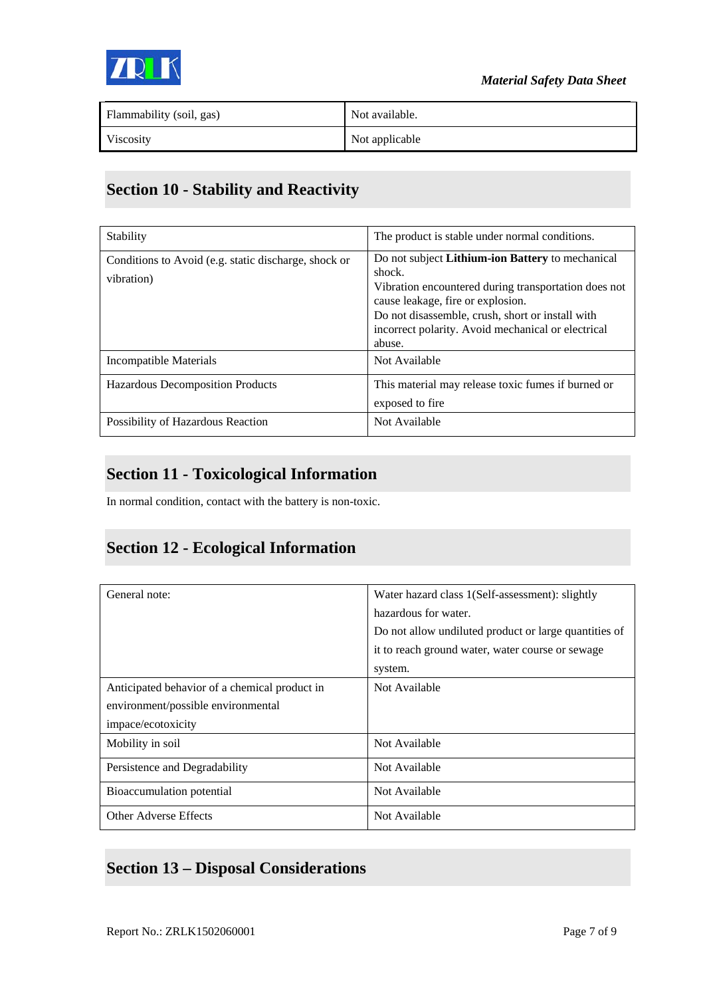

| Flammability (soil, gas) | Not available. |
|--------------------------|----------------|
| Viscosity                | Not applicable |

### **Section 10 - Stability and Reactivity**

| Stability                                                          | The product is stable under normal conditions.                                                                                                                                                                                                                              |
|--------------------------------------------------------------------|-----------------------------------------------------------------------------------------------------------------------------------------------------------------------------------------------------------------------------------------------------------------------------|
| Conditions to Avoid (e.g. static discharge, shock or<br>vibration) | Do not subject Lithium-ion Battery to mechanical<br>shock.<br>Vibration encountered during transportation does not<br>cause leakage, fire or explosion.<br>Do not disassemble, crush, short or install with<br>incorrect polarity. Avoid mechanical or electrical<br>abuse. |
| Incompatible Materials                                             | Not Available                                                                                                                                                                                                                                                               |
| <b>Hazardous Decomposition Products</b>                            | This material may release toxic fumes if burned or<br>exposed to fire                                                                                                                                                                                                       |
| Possibility of Hazardous Reaction                                  | Not Available                                                                                                                                                                                                                                                               |

#### **Section 11 - Toxicological Information**

In normal condition, contact with the battery is non-toxic.

#### **Section 12 - Ecological Information**

| General note:                                 | Water hazard class 1(Self-assessment): slightly       |
|-----------------------------------------------|-------------------------------------------------------|
|                                               | hazardous for water.                                  |
|                                               | Do not allow undiluted product or large quantities of |
|                                               | it to reach ground water, water course or sewage      |
|                                               | system.                                               |
| Anticipated behavior of a chemical product in | Not Available                                         |
| environment/possible environmental            |                                                       |
| impace/ecotoxicity                            |                                                       |
| Mobility in soil                              | Not Available                                         |
| Persistence and Degradability                 | Not Available                                         |
| Bioaccumulation potential                     | Not Available                                         |
| <b>Other Adverse Effects</b>                  | Not Available                                         |

### **Section 13 – Disposal Considerations**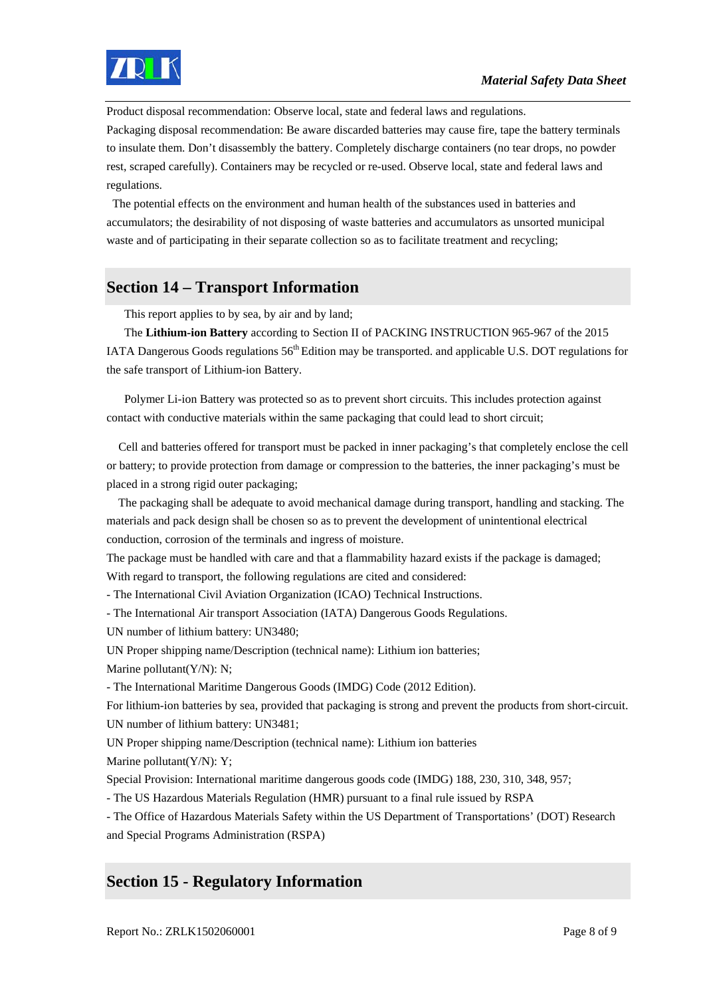

Product disposal recommendation: Observe local, state and federal laws and regulations.

Packaging disposal recommendation: Be aware discarded batteries may cause fire, tape the battery terminals to insulate them. Don't disassembly the battery. Completely discharge containers (no tear drops, no powder rest, scraped carefully). Containers may be recycled or re-used. Observe local, state and federal laws and regulations.

 The potential effects on the environment and human health of the substances used in batteries and accumulators; the desirability of not disposing of waste batteries and accumulators as unsorted municipal waste and of participating in their separate collection so as to facilitate treatment and recycling;

#### **Section 14 – Transport Information**

This report applies to by sea, by air and by land;

The **Lithium-ion Battery** according to Section II of PACKING INSTRUCTION 965-967 of the 2015 IATA Dangerous Goods regulations 56<sup>th</sup> Edition may be transported. and applicable U.S. DOT regulations for the safe transport of Lithium-ion Battery.

Polymer Li-ion Battery was protected so as to prevent short circuits. This includes protection against contact with conductive materials within the same packaging that could lead to short circuit;

 Cell and batteries offered for transport must be packed in inner packaging's that completely enclose the cell or battery; to provide protection from damage or compression to the batteries, the inner packaging's must be placed in a strong rigid outer packaging;

 The packaging shall be adequate to avoid mechanical damage during transport, handling and stacking. The materials and pack design shall be chosen so as to prevent the development of unintentional electrical conduction, corrosion of the terminals and ingress of moisture.

The package must be handled with care and that a flammability hazard exists if the package is damaged; With regard to transport, the following regulations are cited and considered:

- The International Civil Aviation Organization (ICAO) Technical Instructions.

- The International Air transport Association (IATA) Dangerous Goods Regulations.

UN number of lithium battery: UN3480;

UN Proper shipping name/Description (technical name): Lithium ion batteries; Marine pollutant(Y/N): N;

- The International Maritime Dangerous Goods (IMDG) Code (2012 Edition).

For lithium-ion batteries by sea, provided that packaging is strong and prevent the products from short-circuit. UN number of lithium battery: UN3481;

UN Proper shipping name/Description (technical name): Lithium ion batteries

Marine pollutant(Y/N): Y:

Special Provision: International maritime dangerous goods code (IMDG) 188, 230, 310, 348, 957;

- The US Hazardous Materials Regulation (HMR) pursuant to a final rule issued by RSPA

- The Office of Hazardous Materials Safety within the US Department of Transportations' (DOT) Research and Special Programs Administration (RSPA)

#### **Section 15 - Regulatory Information**